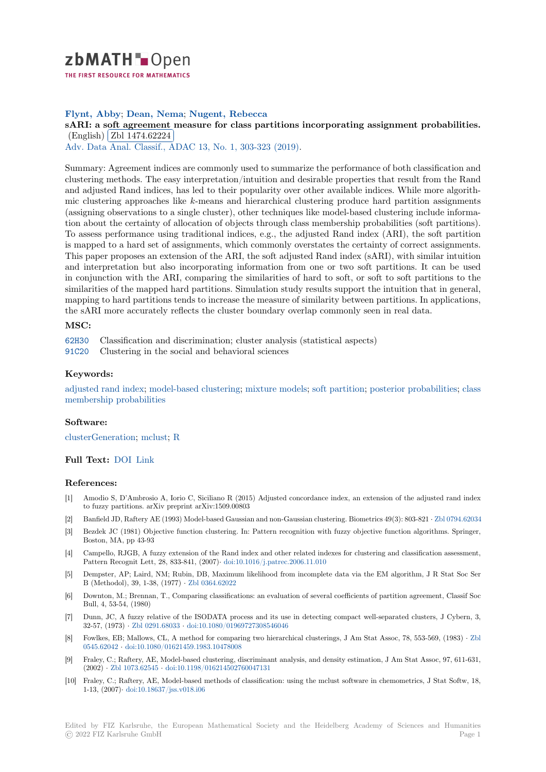

# **Flynt, Abby**; **Dean, Nema**; **Nugent, Rebecca**

**[s](https://zbmath.org/)ARI: a soft agreement measure for class partitions incorporating assignment probabilities.**  $E$ AKI: a sont agreement<br>(English) Zbl 1474.62224

Adv. Data Anal. Classif., ADAC 13, No. 1, 303-323 (2019).

[Summary: Agreement indices are commonly used to summarize the performance of both classification and](https://zbmath.org/1474.62224) clustering [methods. The easy](https://zbmath.org/1474.62224) interpretation/intuition and desirable properties that result from the Rand [and adjusted Rand indices, has l](https://zbmath.org/journals/?q=se:4917)[ed to their popularity over](https://zbmath.org/?q=in:433415) other available indices. While more algorithmic clustering approaches like *k*-means and hierarchical clustering produce hard partition assignments (assigning observations to a single cluster), other techniques like model-based clustering include information about the certainty of allocation of objects through class membership probabilities (soft partitions). To assess performance using traditional indices, e.g., the adjusted Rand index (ARI), the soft partition is mapped to a hard set of assignments, which commonly overstates the certainty of correct assignments. This paper proposes an extension of the ARI, the soft adjusted Rand index (sARI), with similar intuition and interpretation but also incorporating information from one or two soft partitions. It can be used in conjunction with the ARI, comparing the similarities of hard to soft, or soft to soft partitions to the similarities of the mapped hard partitions. Simulation study results support the intuition that in general, mapping to hard partitions tends to increase the measure of similarity between partitions. In applications, the sARI more accurately reflects the cluster boundary overlap commonly seen in real data.

## **MSC:**

62H30 Classification and discrimination; cluster analysis (statistical aspects)

91C20 Clustering in the social and behavioral sciences

## **Keywords:**

[adjust](https://zbmath.org/classification/?q=cc:62H30)ed rand index; model-based clustering; mixture models; soft partition; posterior probabilities; class [memb](https://zbmath.org/classification/?q=cc:91C20)ership probabilities

### **Software:**

[clusterGeneration;](https://zbmath.org/?q=ut:adjusted+rand+index) m[clust;](https://zbmath.org/?q=ut:model-based+clustering) R

## **Full Text:** DOI Link

#### **[References:](https://swmath.org/software/23400)**

- [1] Amodio S, D'Ambrosio A, Iorio C, Siciliano R (2015) Adjusted concordance index, an extension of the adjusted rand index to fuzzy [partiti](https://dx.doi.org/10.1007/s11634-018-0346-x)o[ns. arX](http://eprints.gla.ac.uk/169741/7/169741.pdf)iv preprint arXiv:1509.00803
- [2] Banfield JD, Raftery AE (1993) Model-based Gaussian and non-Gaussian clustering. Biometrics 49(3): 803-821 *·* Zbl 0794.62034
- [3] Bezdek JC (1981) Objective function clustering. In: Pattern recognition with fuzzy objective function algorithms. Springer, Boston, MA, pp 43-93
- [4] Campello, RJGB, A fuzzy extension of the Rand index and other related indexes for clustering and classification assessment, Pattern Recognit Lett, 28, 833-841, (2007)*·* doi:10.1016/j.patrec.2006.11.010
- [5] Dempster, AP; Laird, NM; Rubin, DB, Maximum likelihood from incomplete data via the EM algorithm, J R Stat Soc Ser B (Methodol), 39, 1-38, (1977) *·* Zbl 0364.62022
- [6] Downton, M.; Brennan, T., Comparing classifications: an evaluation of several coefficients of partition agreement, Classif Soc Bull, 4, 53-54, (1980)
- [7] Dunn, JC, A fuzzy relative of the ISODATA process and its use in detecting compact well-separated clusters, J Cybern, 3, 32-57, (1973) *·* Zbl 0291.68033 *·* [doi:10.1080/019](https://zbmath.org/0364.62022)69727308546046
- [8] Fowlkes, EB; Mallows, CL, A method for comparing two hierarchical clusterings, J Am Stat Assoc, 78, 553-569, (1983) *·* Zbl 0545.62042 *·* doi:10.1080/01621459.1983.10478008
- [9] Fraley, C.; Raftery, AE, Model-based clustering, discriminant analysis, and density estimation, J Am Stat Assoc, 97, 611-631, (2002) *·* Zbl 10[73.62545](https://zbmath.org/0291.68033) *·* doi:10.[1198/016214502760047131](https://dx.doi.org/10.1080/01969727308546046)
- [10] Fraley, C.; Raftery, AE, Model-based methods of classification: using the mclust software in chemometrics, J Stat Softw, [18,](https://zbmath.org/0545.62042) [1-13, \(2007](https://zbmath.org/0545.62042))*·* [doi:10.18637/jss.v018.i06](https://dx.doi.org/10.1080/01621459.1983.10478008)